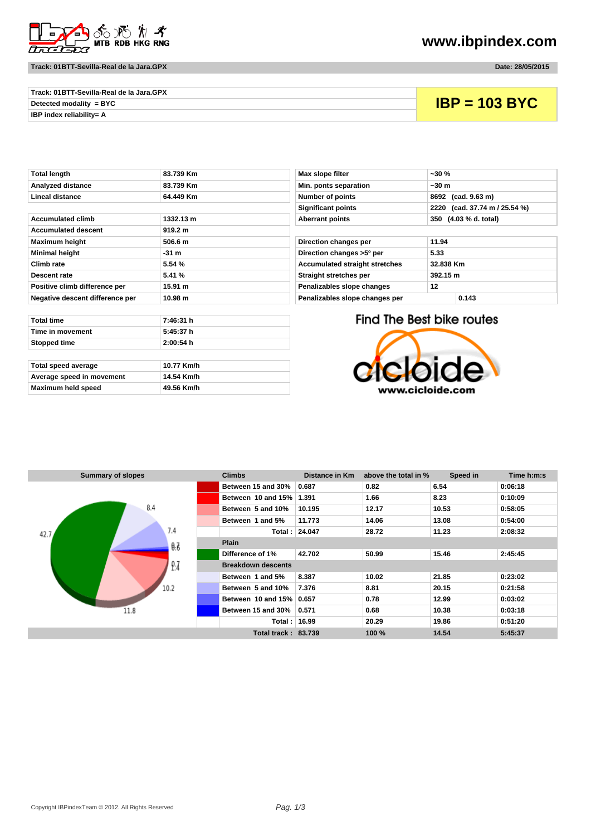

**Track: 01BTT-Sevilla-Real de la Jara.GPX Date: 28/05/2015**

**www.ibpindex.com**

| Track: 01BTT-Sevilla-Real de la Jara.GPX |                 |
|------------------------------------------|-----------------|
| Detected modality = $BYC$                | $IBP = 103 BYC$ |
| <b>IBP index reliabilitv= A</b>          |                 |

| TULAI ICHYLII                   | 03.733 MIL | <b>MAY SIGNE ILITER</b>               | ~JU /0                    |
|---------------------------------|------------|---------------------------------------|---------------------------|
| Analyzed distance               | 83.739 Km  | Min. ponts separation                 | $~1$ – 30 m               |
| Lineal distance                 | 64.449 Km  | Number of points                      | 8692 (cad. 9.63 m)        |
|                                 |            | <b>Significant points</b>             | 2220 (cad. 37.74 m)       |
| <b>Accumulated climb</b>        | 1332.13 m  | <b>Aberrant points</b>                | 350 (4.03 % d. total)     |
| <b>Accumulated descent</b>      | 919.2 m    |                                       |                           |
| <b>Maximum height</b>           | 506.6 m    | Direction changes per                 | 11.94                     |
| <b>Minimal height</b>           | $-31$ m    | Direction changes >5° per             | 5.33                      |
| Climb rate                      | 5.54%      | <b>Accumulated straight stretches</b> | 32.838 Km                 |
| <b>Descent rate</b>             | 5.41 %     | Straight stretches per                | 392.15 m                  |
| Positive climb difference per   | 15.91 m    | Penalizables slope changes            | 12                        |
| Negative descent difference per | 10.98 m    | Penalizables slope changes per        | 0.143                     |
|                                 |            |                                       |                           |
| <b>Total time</b>               | 7:46:31 h  |                                       | Find The Best bike routes |
| Time in movement                | 5:45:37 h  |                                       |                           |
| Stopped time                    | 2:00:54 h  |                                       |                           |
|                                 |            |                                       |                           |

| Total speed average       | 10.77 Km/h |
|---------------------------|------------|
| Average speed in movement | 14.54 Km/h |
| Maximum held speed        | 49.56 Km/h |

| Total length                    | 83.739 Km | Max slope filter<br>$-30%$              |                               |
|---------------------------------|-----------|-----------------------------------------|-------------------------------|
| Analyzed distance               | 83.739 Km | Min. ponts separation                   | $-30 m$                       |
| Lineal distance                 | 64.449 Km | <b>Number of points</b>                 | 8692 (cad. 9.63 m)            |
|                                 |           | <b>Significant points</b>               | 2220 (cad. 37.74 m / 25.54 %) |
| Accumulated climb               | 1332.13 m | <b>Aberrant points</b>                  | 350 (4.03 % d. total)         |
| <b>Accumulated descent</b>      | 919.2 m   |                                         |                               |
| Maximum height                  | 506.6 m   | Direction changes per                   | 11.94                         |
| Minimal height                  | $-31$ m   | Direction changes >5° per               | 5.33                          |
| Climb rate                      | 5.54%     | <b>Accumulated straight stretches</b>   | 32.838 Km                     |
| Descent rate                    | 5.41 %    | Straight stretches per                  | 392.15 m                      |
| Positive climb difference per   | 15.91 m   | Penalizables slope changes<br>12        |                               |
| Nagatiya dascant diffaranca nar | 10.08 m   | Penalizables sione changes ner<br>0.143 |                               |

Find The Best bike routes



| <b>Summary of slopes</b> | <b>Climbs</b>              | <b>Distance in Km</b> | above the total in % | Speed in | Time h:m:s |  |
|--------------------------|----------------------------|-----------------------|----------------------|----------|------------|--|
|                          | Between 15 and 30%         | 0.687                 | 0.82                 | 6.54     | 0:06:18    |  |
|                          | Between 10 and 15%         | 1.391                 | 1.66                 | 8.23     | 0:10:09    |  |
| 8.4                      | Between 5 and 10%          | 10.195                | 12.17                | 10.53    | 0:58:05    |  |
|                          | Between 1 and 5%           | 11.773                | 14.06                | 13.08    | 0:54:00    |  |
| 7.4<br>42.7 <sub>4</sub> | Total : l                  | 24.047                | 28.72                | 11.23    | 2:08:32    |  |
| 0.7                      | <b>Plain</b>               |                       |                      |          |            |  |
|                          | Difference of 1%           | 42.702                | 50.99                | 15.46    | 2:45:45    |  |
| 9.7                      | <b>Breakdown descents</b>  |                       |                      |          |            |  |
|                          | Between 1 and 5%           | 8.387                 | 10.02                | 21.85    | 0:23:02    |  |
| 10.2                     | Between 5 and 10%          | 7.376                 | 8.81                 | 20.15    | 0:21:58    |  |
| 11.8                     | Between 10 and 15% 0.657   |                       | 0.78                 | 12.99    | 0:03:02    |  |
|                          | Between 15 and 30%         | 0.571                 | 0.68                 | 10.38    | 0:03:18    |  |
|                          | Total : I                  | 16.99                 | 20.29                | 19.86    | 0:51:20    |  |
|                          | <b>Total track: 83.739</b> |                       | 100 %                | 14.54    | 5:45:37    |  |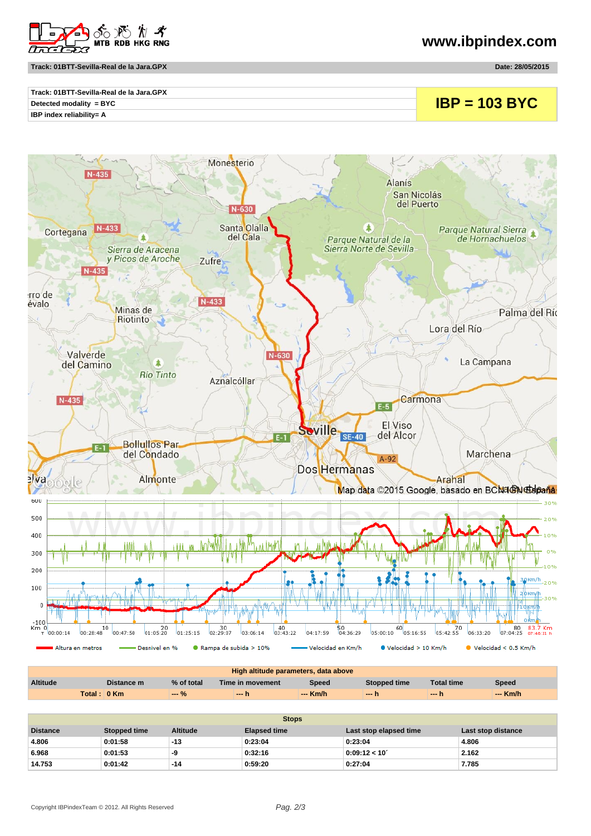

**Track: 01BTT-Sevilla-Real de la Jara.GPX Date: 28/05/2015**

**www.ibpindex.com**

| Track: 01BTT-Sevilla-Real de la Jara.GPX |                 |
|------------------------------------------|-----------------|
| Detected modality = BYC                  | $IBP = 103 BYC$ |
| <b>IBP index reliability= A</b>          |                 |



| High altitude parameters, data above |                 |            |                  |              |              |                   |          |
|--------------------------------------|-----------------|------------|------------------|--------------|--------------|-------------------|----------|
| <b>Altitude</b>                      | Distance m      | % of total | Time in movement | <b>Speed</b> | Stopped time | <b>Total time</b> | Speed    |
|                                      | Total : │0 Km ∣ | $-9/6$     | -- h             | $-$ Km/h     | $-h$         | $- - 7$           | $-$ Km/h |

| <b>Stops</b>    |              |                 |                     |                        |                    |  |  |
|-----------------|--------------|-----------------|---------------------|------------------------|--------------------|--|--|
| <b>Distance</b> | Stopped time | <b>Altitude</b> | <b>Elapsed time</b> | Last stop elapsed time | Last stop distance |  |  |
| 4.806           | 0:01:58      | $-13$           | 0:23:04             | 0:23:04                | 4.806              |  |  |
| 6.968           | 0:01:53      | -9              | 0:32:16             | 0:09:12 < 10'          | 2.162              |  |  |
| 14.753          | 0:01:42      | $-14$           | 0:59:20             | 0:27:04                | 7.785              |  |  |